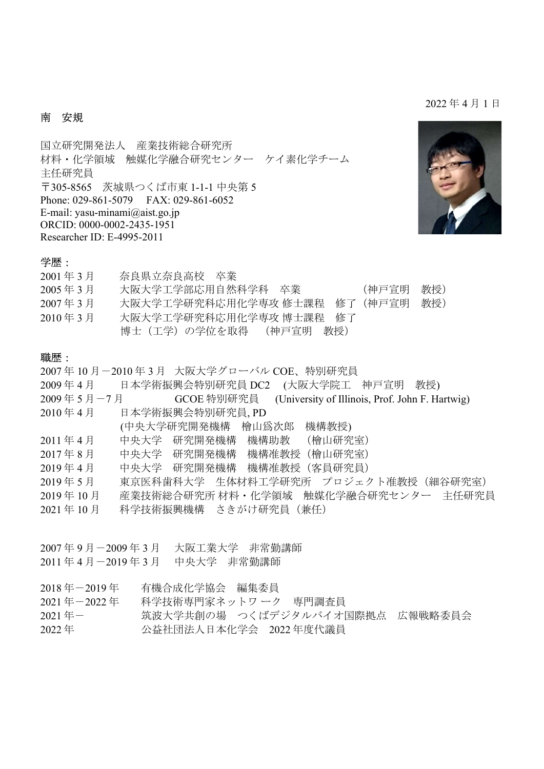#### 2022 年 4 月 1 日

### 南 安規

国立研究開発法人 産業技術総合研究所 材料・化学領域 触媒化学融合研究センター ケイ素化学チーム 主任研究員 〒305-8565 茨城県つくば市東 1-1-1 中央第 5 Phone: 029-861-5079 FAX: 029-861-6052 E-mail: yasu-minami@aist.go.jp ORCID: 0000-0002-2435-1951 Researcher ID: E-4995-2011



#### 学歴:

| $2001 \n 453$ 月                | 奈良県立奈良高校 卒業                             |  |
|--------------------------------|-----------------------------------------|--|
| 2005年3月                        | 大阪大学工学部応用自然科学科 卒業<br>教授)<br>(神戸宣明       |  |
| $2007 \n  4$ 3 月               | 大阪大学工学研究科応用化学専攻 修士課程 修了<br>教授)<br>(神戸官明 |  |
| $2010 \text{ 4} = 3 \text{ 5}$ | 大阪大学工学研究科応用化学専攻 博士課程 修了                 |  |
|                                | 博士(工学)の学位を取得 (神戸宣明 教授)                  |  |

#### 職歴:

- 2007 年 10 月-2010 年 3 月 大阪大学グローバル COE、特別研究員
- 2009 年 4 月 日本学術振興会特別研究員 DC2 (大阪大学院工 神戸宣明 教授)
- 2009年5月-7月 GCOE 特別研究員 (University of Illinois, Prof. John F. Hartwig)
- 2010 年 4 月 日本学術振興会特別研究員, PD
- (中央大学研究開発機構 檜山爲次郎 機構教授)
- 2011 年 4 月 中央大学 研究開発機構 機構助教 (檜山研究室)
- 2017 年 8 月 中央大学 研究開発機構 機構准教授(檜山研究室)
- 2019 年 4 月 中央大学 研究開発機構 機構准教授(客員研究員)
- 2019年5月 東京医科歯科大学 生体材料工学研究所 プロジェクト准教授 (細谷研究室)
- 2019 年 10 月 産業技術総合研究所 材料・化学領域 触媒化学融合研究センター 主任研究員
- 2021 年 10 月 科学技術振興機構 さきがけ研究員(兼任)
- 2007 年 9 月-2009 年 3 月 大阪工業大学 非常勤講師
- 2011 年 4 月-2019 年 3 月 中央大学 非常勤講師
- 2018 年-2019 年 有機合成化学協会 編集委員
- 2021 年-2022 年 科学技術専門家ネットワ ーク 専門調査員
- 2021年ー 筑波大学共創の場 つくばデジタルバイオ国際拠点 広報戦略委員会
- 2022 年 公益社団法人日本化学会 2022 年度代議員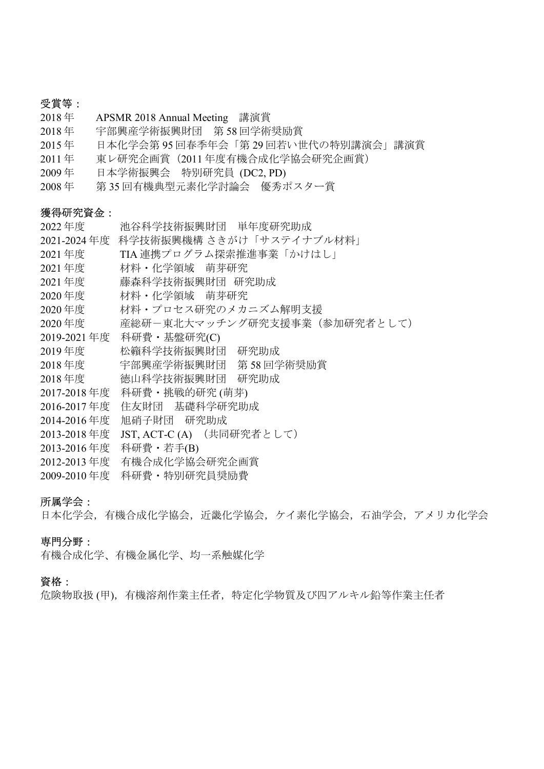# 受賞等:

- 2018 年 APSMR 2018 Annual Meeting 講演賞
- 2018 年 宇部興産学術振興財団 第 58 回学術奨励賞
- 2015 年 日本化学会第 95 回春季年会「第 29 回若い世代の特別講演会」講演賞
- 2011 年 東レ研究企画賞(2011 年度有機合成化学協会研究企画賞)

 $2022$   $2022$   $2022$   $2022$   $2022$   $2022$   $2022$   $2022$   $2022$   $2022$   $2022$   $2022$   $2022$   $2022$   $2022$   $2022$   $2022$   $2022$   $2022$   $2022$   $2022$   $2022$   $2022$   $2022$   $2022$   $2022$   $2022$   $2022$   $2022$   $2022$   $2022$   $202$ 

- 2009 年 日本学術振興会 特別研究員 (DC2, PD)
- 2008 年 第 35 回有機典型元素化学討論会 優秀ポスター賞

#### 獲得研究資金:

| 2022 年度     | 池谷科字抆俯振興財団 - 単牛度研究助放         |
|-------------|------------------------------|
| 2021-2024年度 | 科学技術振興機構 さきがけ「サステイナブル材料」     |
| 2021年度      | TIA 連携プログラム探索推進事業「かけはし」      |
| 2021年度      | 材料・化学領域 萌芽研究                 |
| 2021年度      | 藤森科学技術振興財団 研究助成              |
| 2020年度      | 材料・化学領域 萌芽研究                 |
| 2020年度      | 材料・プロセス研究のメカニズム解明支援          |
| 2020年度      | 産総研ー東北大マッチング研究支援事業(参加研究者として) |
| 2019-2021年度 | 科研費·基盤研究(C)                  |
| 2019年度      | 松籟科学技術振興財団<br>研究助成           |
| 2018年度      | 宇部興産学術振興財団 第 58 回学術奨励賞       |
| 2018年度      | 徳山科学技術振興財団 研究助成              |
| 2017-2018年度 | 科研費・挑戦的研究 (萌芽)               |
| 2016-2017年度 | 住友財団 基礎科学研究助成                |
| 2014-2016年度 | 旭硝子財団 研究助成                   |
| 2013-2018年度 | JST, ACT-C(A) (共同研究者として)     |
| 2013-2016年度 | 科研費・若手(B)                    |
| 2012-2013年度 | 有機合成化学協会研究企画賞                |
| 2009-2010年度 | 科研費・特別研究員奨励費                 |

#### 所属学会:

日本化学会,有機合成化学協会,近畿化学協会,ケイ素化学協会,石油学会,アメリカ化学会

### 専門分野:

有機合成化学、有機金属化学、均一系触媒化学

#### 資格:

危険物取扱 (甲),有機溶剤作業主任者,特定化学物質及び四アルキル鉛等作業主任者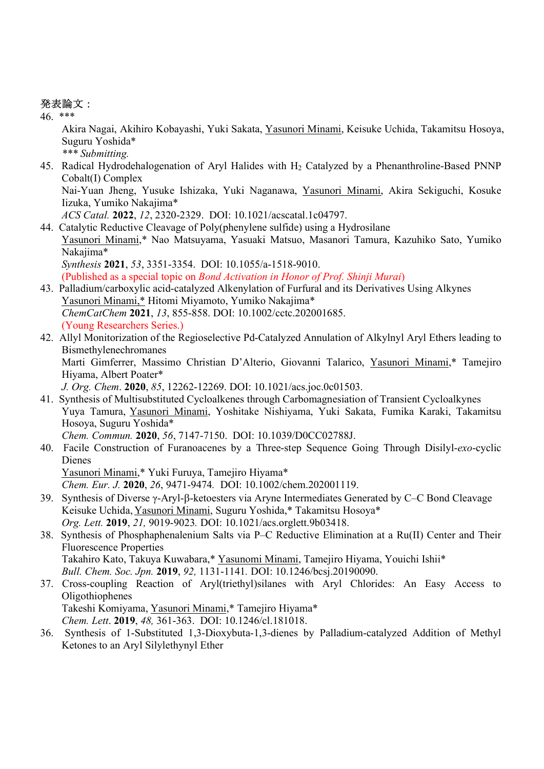## 発表論文:

46. \*\*\*

Akira Nagai, Akihiro Kobayashi, Yuki Sakata, Yasunori Minami, Keisuke Uchida, Takamitsu Hosoya, Suguru Yoshida\*

\*\*\* Submitting.

45. Radical Hydrodehalogenation of Aryl Halides with H<sub>2</sub> Catalyzed by a Phenanthroline-Based PNNP Cobalt(I) Complex

Nai-Yuan Jheng, Yusuke Ishizaka, Yuki Naganawa, Yasunori Minami, Akira Sekiguchi, Kosuke Iizuka, Yumiko Nakajima\*

ACS Catal. 2022, 12, 2320-2329. DOI: 10.1021/acscatal.1c04797.

44. Catalytic Reductive Cleavage of Poly(phenylene sulfide) using a Hydrosilane Yasunori Minami,\* Nao Matsuyama, Yasuaki Matsuo, Masanori Tamura, Kazuhiko Sato, Yumiko Nakajima\* Synthesis 2021, 53, 3351-3354. DOI: 10.1055/a-1518-9010. (Published as a special topic on Bond Activation in Honor of Prof. Shinji Murai)

43. Palladium/carboxylic acid-catalyzed Alkenylation of Furfural and its Derivatives Using Alkynes

Yasunori Minami,\* Hitomi Miyamoto, Yumiko Nakajima\* ChemCatChem 2021, 13, 855-858. DOI: 10.1002/cctc.202001685. (Young Researchers Series.)

42. Allyl Monitorization of the Regioselective Pd-Catalyzed Annulation of Alkylnyl Aryl Ethers leading to Bismethylenechromanes Marti Gimferrer, Massimo Christian D'Alterio, Giovanni Talarico, Yasunori Minami,\* Tamejiro

Hiyama, Albert Poater\*

J. Org. Chem. 2020, 85, 12262-12269. DOI: 10.1021/acs.joc.0c01503.

41. Synthesis of Multisubstituted Cycloalkenes through Carbomagnesiation of Transient Cycloalkynes Yuya Tamura, Yasunori Minami, Yoshitake Nishiyama, Yuki Sakata, Fumika Karaki, Takamitsu Hosoya, Suguru Yoshida\*

Chem. Commun. 2020, 56, 7147-7150. DOI: 10.1039/D0CC02788J.

40. Facile Construction of Furanoacenes by a Three-step Sequence Going Through Disilyl-exo-cyclic Dienes

Yasunori Minami,\* Yuki Furuya, Tamejiro Hiyama\*

Chem. Eur. J. 2020, 26, 9471-9474. DOI: 10.1002/chem.202001119.

- 39. Synthesis of Diverse γ-Aryl-β-ketoesters via Aryne Intermediates Generated by C–C Bond Cleavage Keisuke Uchida, Yasunori Minami, Suguru Yoshida,\* Takamitsu Hosoya\* Org. Lett. 2019, 21, 9019-9023. DOI: 10.1021/acs.orglett.9b03418.
- 38. Synthesis of Phosphaphenalenium Salts via P–C Reductive Elimination at a Ru(II) Center and Their Fluorescence Properties Takahiro Kato, Takuya Kuwabara,\* Yasunomi Minami, Tamejiro Hiyama, Youichi Ishii\* Bull. Chem. Soc. Jpn. 2019, 92, 1131-1141. DOI: 10.1246/bcsj.20190090.
- 37. Cross-coupling Reaction of Aryl(triethyl)silanes with Aryl Chlorides: An Easy Access to Oligothiophenes Takeshi Komiyama, Yasunori Minami,\* Tamejiro Hiyama\* Chem. Lett. 2019, 48, 361-363. DOI: 10.1246/cl.181018.
- 36. Synthesis of 1-Substituted 1,3-Dioxybuta-1,3-dienes by Palladium-catalyzed Addition of Methyl Ketones to an Aryl Silylethynyl Ether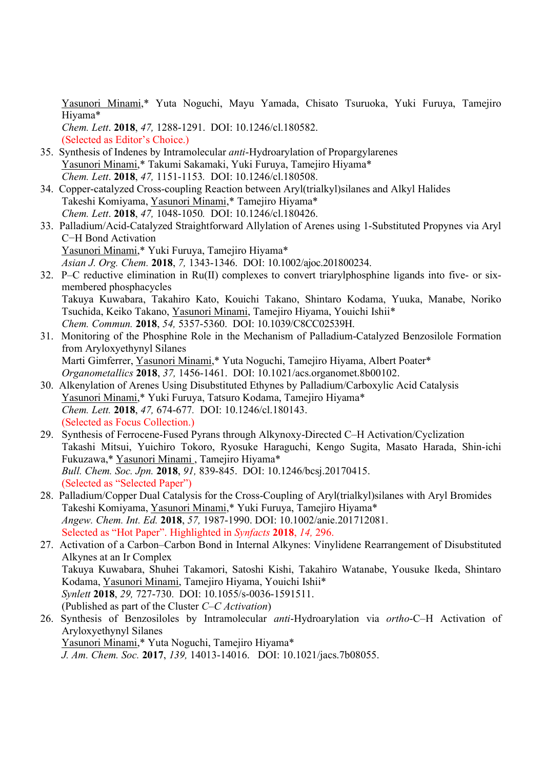Yasunori Minami,\* Yuta Noguchi, Mayu Yamada, Chisato Tsuruoka, Yuki Furuya, Tamejiro Hiyama\* Chem. Lett. 2018, 47, 1288-1291. DOI: 10.1246/cl.180582.

(Selected as Editor's Choice.)

- 35. Synthesis of Indenes by Intramolecular anti-Hydroarylation of Propargylarenes Yasunori Minami,\* Takumi Sakamaki, Yuki Furuya, Tamejiro Hiyama\* Chem. Lett. 2018, 47, 1151-1153. DOI: 10.1246/cl.180508.
- 34. Copper-catalyzed Cross-coupling Reaction between Aryl(trialkyl)silanes and Alkyl Halides Takeshi Komiyama, Yasunori Minami,\* Tamejiro Hiyama\* Chem. Lett. 2018, 47, 1048-1050. DOI: 10.1246/cl.180426.
- 33. Palladium/Acid-Catalyzed Straightforward Allylation of Arenes using 1-Substituted Propynes via Aryl C−H Bond Activation Yasunori Minami,\* Yuki Furuya, Tamejiro Hiyama\* Asian J. Org. Chem. 2018, 7, 1343-1346. DOI: 10.1002/ajoc.201800234.
- 32. P–C reductive elimination in Ru(II) complexes to convert triarylphosphine ligands into five- or sixmembered phosphacycles Takuya Kuwabara, Takahiro Kato, Kouichi Takano, Shintaro Kodama, Yuuka, Manabe, Noriko Tsuchida, Keiko Takano, Yasunori Minami, Tamejiro Hiyama, Youichi Ishii\* Chem. Commun. 2018, 54, 5357-5360. DOI: 10.1039/C8CC02539H.
- 31. Monitoring of the Phosphine Role in the Mechanism of Palladium-Catalyzed Benzosilole Formation from Aryloxyethynyl Silanes Marti Gimferrer, Yasunori Minami,\* Yuta Noguchi, Tamejiro Hiyama, Albert Poater\* Organometallics 2018, 37, 1456-1461. DOI: 10.1021/acs.organomet.8b00102.
- 30. Alkenylation of Arenes Using Disubstituted Ethynes by Palladium/Carboxylic Acid Catalysis Yasunori Minami,\* Yuki Furuya, Tatsuro Kodama, Tamejiro Hiyama\* Chem. Lett. 2018, 47, 674-677. DOI: 10.1246/cl.180143. (Selected as Focus Collection.)
- 29. Synthesis of Ferrocene-Fused Pyrans through Alkynoxy-Directed C–H Activation/Cyclization Takashi Mitsui, Yuichiro Tokoro, Ryosuke Haraguchi, Kengo Sugita, Masato Harada, Shin-ichi Fukuzawa,\* Yasunori Minami , Tamejiro Hiyama\* Bull. Chem. Soc. Jpn. 2018, 91, 839-845. DOI: 10.1246/bcsj.20170415. (Selected as "Selected Paper")
- 28. Palladium/Copper Dual Catalysis for the Cross-Coupling of Aryl(trialkyl)silanes with Aryl Bromides Takeshi Komiyama, Yasunori Minami,\* Yuki Furuya, Tamejiro Hiyama\* Angew. Chem. Int. Ed. 2018, 57, 1987-1990. DOI: 10.1002/anie.201712081. Selected as "Hot Paper". Highlighted in Synfacts 2018, 14, 296.

27. Activation of a Carbon–Carbon Bond in Internal Alkynes: Vinylidene Rearrangement of Disubstituted Alkynes at an Ir Complex Takuya Kuwabara, Shuhei Takamori, Satoshi Kishi, Takahiro Watanabe, Yousuke Ikeda, Shintaro Kodama, Yasunori Minami, Tamejiro Hiyama, Youichi Ishii\* Synlett 2018, 29, 727-730. DOI: 10.1055/s-0036-1591511. (Published as part of the Cluster C–C Activation)

26. Synthesis of Benzosiloles by Intramolecular anti-Hydroarylation via ortho-C–H Activation of Aryloxyethynyl Silanes Yasunori Minami,\* Yuta Noguchi, Tamejiro Hiyama\* J. Am. Chem. Soc. 2017, 139, 14013-14016. DOI: 10.1021/jacs.7b08055.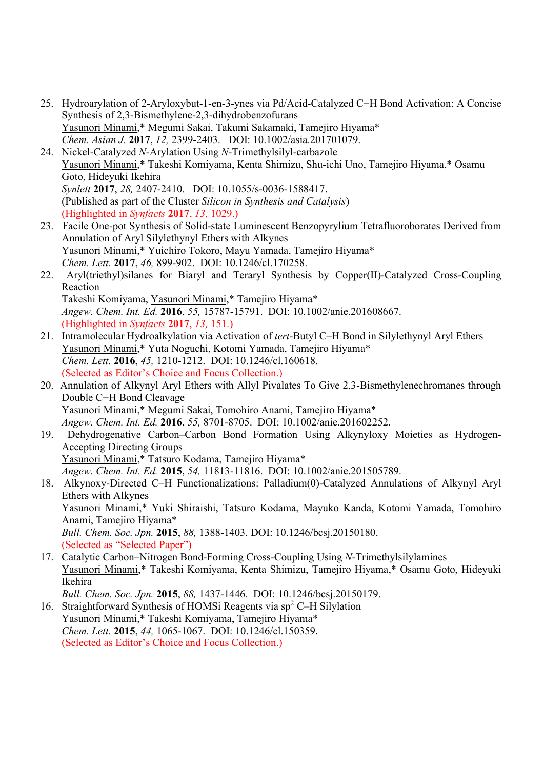- 25. Hydroarylation of 2-Aryloxybut-1-en-3-ynes via Pd/Acid-Catalyzed C−H Bond Activation: A Concise Synthesis of 2,3-Bismethylene-2,3-dihydrobenzofurans Yasunori Minami,\* Megumi Sakai, Takumi Sakamaki, Tamejiro Hiyama\* Chem. Asian J. 2017, 12, 2399-2403. DOI: 10.1002/asia.201701079.
- 24. Nickel-Catalyzed N-Arylation Using N-Trimethylsilyl-carbazole Yasunori Minami,\* Takeshi Komiyama, Kenta Shimizu, Shu-ichi Uno, Tamejiro Hiyama,\* Osamu Goto, Hideyuki Ikehira Synlett 2017, 28, 2407-2410. DOI: 10.1055/s-0036-1588417. (Published as part of the Cluster Silicon in Synthesis and Catalysis) (Highlighted in Synfacts 2017, 13, 1029.)
- 23. Facile One-pot Synthesis of Solid-state Luminescent Benzopyrylium Tetrafluoroborates Derived from Annulation of Aryl Silylethynyl Ethers with Alkynes Yasunori Minami,\* Yuichiro Tokoro, Mayu Yamada, Tamejiro Hiyama\* Chem. Lett. 2017, 46, 899-902. DOI: 10.1246/cl.170258.
- 22. Aryl(triethyl)silanes for Biaryl and Teraryl Synthesis by Copper(II)-Catalyzed Cross-Coupling Reaction Takeshi Komiyama, Yasunori Minami,\* Tamejiro Hiyama\*

Angew. Chem. Int. Ed. 2016, 55, 15787-15791. DOI: 10.1002/anie.201608667. (Highlighted in Synfacts 2017, 13, 151.)

- 21. Intramolecular Hydroalkylation via Activation of *tert*-Butyl C–H Bond in Silylethynyl Aryl Ethers Yasunori Minami,\* Yuta Noguchi, Kotomi Yamada, Tamejiro Hiyama\* Chem. Lett. 2016, 45, 1210-1212. DOI: 10.1246/cl.160618. (Selected as Editor's Choice and Focus Collection.)
- 20. Annulation of Alkynyl Aryl Ethers with Allyl Pivalates To Give 2,3-Bismethylenechromanes through Double C−H Bond Cleavage Yasunori Minami,\* Megumi Sakai, Tomohiro Anami, Tamejiro Hiyama\* Angew. Chem. Int. Ed. 2016, 55, 8701-8705. DOI: 10.1002/anie.201602252.
- 19. Dehydrogenative Carbon–Carbon Bond Formation Using Alkynyloxy Moieties as Hydrogen-Accepting Directing Groups Yasunori Minami,\* Tatsuro Kodama, Tamejiro Hiyama\*

Angew. Chem. Int. Ed. 2015, 54, 11813-11816. DOI: 10.1002/anie.201505789.

- 18. Alkynoxy-Directed C–H Functionalizations: Palladium(0)-Catalyzed Annulations of Alkynyl Aryl Ethers with Alkynes Yasunori Minami,\* Yuki Shiraishi, Tatsuro Kodama, Mayuko Kanda, Kotomi Yamada, Tomohiro Anami, Tamejiro Hiyama\* Bull. Chem. Soc. Jpn. 2015, 88, 1388-1403. DOI: 10.1246/bcsj.20150180. (Selected as "Selected Paper")
- 17. Catalytic Carbon–Nitrogen Bond-Forming Cross-Coupling Using N-Trimethylsilylamines Yasunori Minami,\* Takeshi Komiyama, Kenta Shimizu, Tamejiro Hiyama,\* Osamu Goto, Hideyuki Ikehira

Bull. Chem. Soc. Jpn. 2015, 88, 1437-1446. DOI: 10.1246/bcsj.20150179.

16. Straightforward Synthesis of HOMSi Reagents via sp<sup>2</sup> C-H Silylation Yasunori Minami,\* Takeshi Komiyama, Tamejiro Hiyama\* Chem. Lett. 2015, 44, 1065-1067. DOI: 10.1246/cl.150359. (Selected as Editor's Choice and Focus Collection.)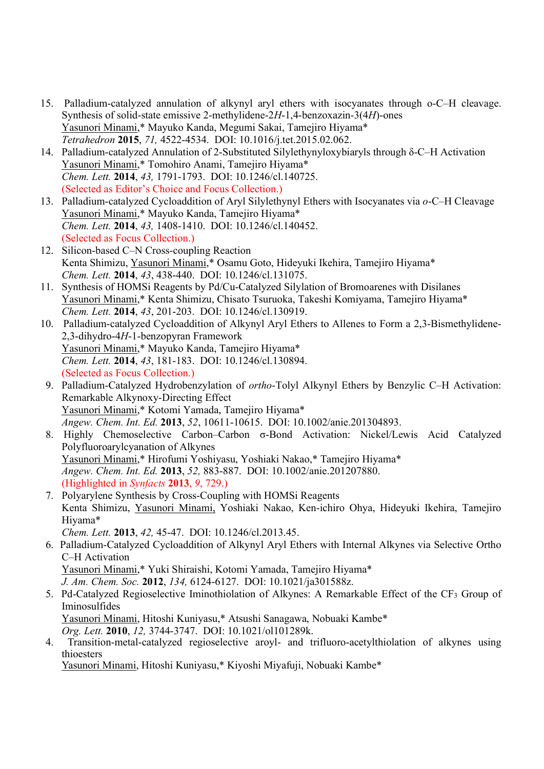- 15. Palladium-catalyzed annulation of alkynyl aryl ethers with isocyanates through o-C–H cleavage. Synthesis of solid-state emissive 2-methylidene-2H-1,4-benzoxazin-3(4H)-ones Yasunori Minami,\* Mayuko Kanda, Megumi Sakai, Tamejiro Hiyama\* Tetrahedron 2015, 71, 4522-4534. DOI: 10.1016/j.tet.2015.02.062.
- 14. Palladium-catalyzed Annulation of 2-Substituted Silylethynyloxybiaryls through δ-C–H Activation Yasunori Minami,\* Tomohiro Anami, Tamejiro Hiyama\* Chem. Lett. 2014, 43, 1791-1793. DOI: 10.1246/cl.140725. (Selected as Editor's Choice and Focus Collection.)
- 13. Palladium-catalyzed Cycloaddition of Aryl Silylethynyl Ethers with Isocyanates via o-C–H Cleavage Yasunori Minami,\* Mayuko Kanda, Tamejiro Hiyama\* Chem. Lett. 2014, 43, 1408-1410. DOI: 10.1246/cl.140452. (Selected as Focus Collection.)
- 12. Silicon-based C–N Cross-coupling Reaction Kenta Shimizu, Yasunori Minami,\* Osamu Goto, Hideyuki Ikehira, Tamejiro Hiyama\* Chem. Lett. 2014, 43, 438-440. DOI: 10.1246/cl.131075.
- 11. Synthesis of HOMSi Reagents by Pd/Cu-Catalyzed Silylation of Bromoarenes with Disilanes Yasunori Minami,\* Kenta Shimizu, Chisato Tsuruoka, Takeshi Komiyama, Tamejiro Hiyama\* Chem. Lett. 2014, 43, 201-203. DOI: 10.1246/cl.130919.
- 10. Palladium-catalyzed Cycloaddition of Alkynyl Aryl Ethers to Allenes to Form a 2,3-Bismethylidene-2,3-dihydro-4H-1-benzopyran Framework Yasunori Minami,\* Mayuko Kanda, Tamejiro Hiyama\* Chem. Lett. 2014, 43, 181-183. DOI: 10.1246/cl.130894. (Selected as Focus Collection.)
- 9. Palladium-Catalyzed Hydrobenzylation of ortho-Tolyl Alkynyl Ethers by Benzylic C–H Activation: Remarkable Alkynoxy-Directing Effect Yasunori Minami,\* Kotomi Yamada, Tamejiro Hiyama\* Angew. Chem. Int. Ed. 2013, 52, 10611-10615. DOI: 10.1002/anie.201304893.
- 8. Highly Chemoselective Carbon–Carbon σ-Bond Activation: Nickel/Lewis Acid Catalyzed Polyfluoroarylcyanation of Alkynes Yasunori Minami,\* Hirofumi Yoshiyasu, Yoshiaki Nakao,\* Tamejiro Hiyama\* Angew. Chem. Int. Ed. 2013, 52, 883-887. DOI: 10.1002/anie.201207880. (Highlighted in Synfacts 2013, 9, 729.)
- 7. Polyarylene Synthesis by Cross-Coupling with HOMSi Reagents Kenta Shimizu, Yasunori Minami, Yoshiaki Nakao, Ken-ichiro Ohya, Hideyuki Ikehira, Tamejiro Hiyama\*
	- Chem. Lett. 2013, 42, 45-47. DOI: 10.1246/cl.2013.45.
- 6. Palladium-Catalyzed Cycloaddition of Alkynyl Aryl Ethers with Internal Alkynes via Selective Ortho C–H Activation Yasunori Minami,\* Yuki Shiraishi, Kotomi Yamada, Tamejiro Hiyama\* J. Am. Chem. Soc. 2012, 134, 6124-6127. DOI: 10.1021/ja301588z.
- 5. Pd-Catalyzed Regioselective Iminothiolation of Alkynes: A Remarkable Effect of the CF<sub>3</sub> Group of Iminosulfides Yasunori Minami, Hitoshi Kuniyasu,\* Atsushi Sanagawa, Nobuaki Kambe\* Org. Lett. 2010, 12, 3744-3747. DOI: 10.1021/ol101289k.
- 4. Transition-metal-catalyzed regioselective aroyl- and trifluoro-acetylthiolation of alkynes using thioesters

Yasunori Minami, Hitoshi Kuniyasu,\* Kiyoshi Miyafuji, Nobuaki Kambe\*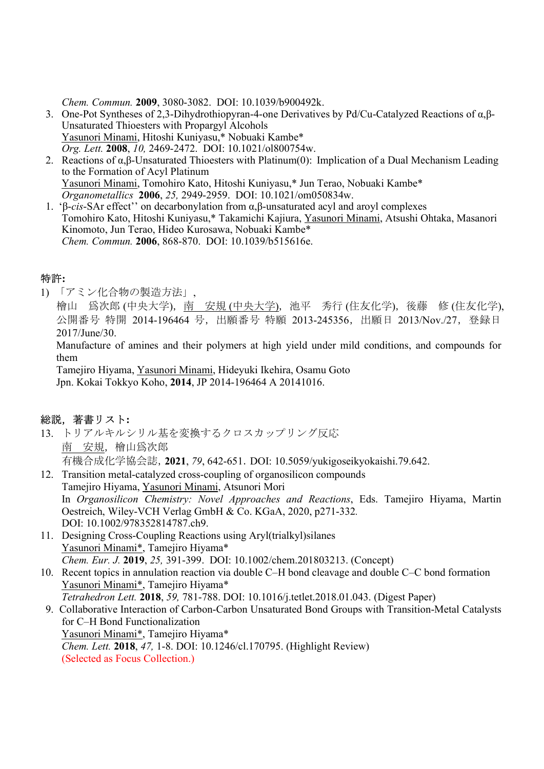Chem. Commun. 2009, 3080-3082. DOI: 10.1039/b900492k.

- 3. One-Pot Syntheses of 2,3-Dihydrothiopyran-4-one Derivatives by Pd/Cu-Catalyzed Reactions of α,β-Unsaturated Thioesters with Propargyl Alcohols Yasunori Minami, Hitoshi Kuniyasu,\* Nobuaki Kambe\* Org. Lett. 2008, 10, 2469-2472. DOI: 10.1021/ol800754w.
- 2. Reactions of α,β-Unsaturated Thioesters with Platinum(0):  Implication of a Dual Mechanism Leading to the Formation of Acyl Platinum Yasunori Minami, Tomohiro Kato, Hitoshi Kuniyasu,\* Jun Terao, Nobuaki Kambe\* Organometallics 2006, 25, 2949-2959. DOI: 10.1021/om050834w.
- 1. 'β-cis-SAr effect'' on decarbonylation from α,β-unsaturated acyl and aroyl complexes Tomohiro Kato, Hitoshi Kuniyasu,\* Takamichi Kajiura, Yasunori Minami, Atsushi Ohtaka, Masanori Kinomoto, Jun Terao, Hideo Kurosawa, Nobuaki Kambe\* Chem. Commun. 2006, 868-870. DOI: 10.1039/b515616e.

## 特許:

1) 「アミン化合物の製造方法」,

檜山 爲次郎 (中央大学),南 安規 (中央大学),池平 秀行 (住友化学),後藤 修 (住友化学), 公開番号 特開 2014-196464 号, 出願番号 特願 2013-245356, 出願日 2013/Nov./27, 登録日 2017/June/30.

Manufacture of amines and their polymers at high yield under mild conditions, and compounds for them

Tamejiro Hiyama, Yasunori Minami, Hideyuki Ikehira, Osamu Goto Jpn. Kokai Tokkyo Koho, 2014, JP 2014-196464 A 20141016.

## 総説,著書リスト:

- 13. トリアルキルシリル基を変換するクロスカップリング反応 南 安規, 檜山爲次郎 有機合成化学協会誌,2021, 79, 642-651.DOI: 10.5059/yukigoseikyokaishi.79.642.
- 12. Transition metal-catalyzed cross-coupling of organosilicon compounds Tamejiro Hiyama, Yasunori Minami, Atsunori Mori In Organosilicon Chemistry: Novel Approaches and Reactions, Eds. Tamejiro Hiyama, Martin Oestreich, Wiley-VCH Verlag GmbH & Co. KGaA, 2020, p271-332. DOI: 10.1002/978352814787.ch9.
- 11. Designing Cross-Coupling Reactions using Aryl(trialkyl)silanes Yasunori Minami\*, Tamejiro Hiyama\* Chem. Eur. J. 2019, 25, 391-399. DOI: 10.1002/chem.201803213. (Concept)
- 10. Recent topics in annulation reaction via double C–H bond cleavage and double C–C bond formation Yasunori Minami\*, Tamejiro Hiyama\* Tetrahedron Lett. 2018, 59, 781-788. DOI: 10.1016/j.tetlet.2018.01.043. (Digest Paper)
- 9. Collaborative Interaction of Carbon-Carbon Unsaturated Bond Groups with Transition-Metal Catalysts for C–H Bond Functionalization Yasunori Minami\*, Tamejiro Hiyama\* Chem. Lett. 2018, 47, 1-8. DOI: 10.1246/cl.170795. (Highlight Review) (Selected as Focus Collection.)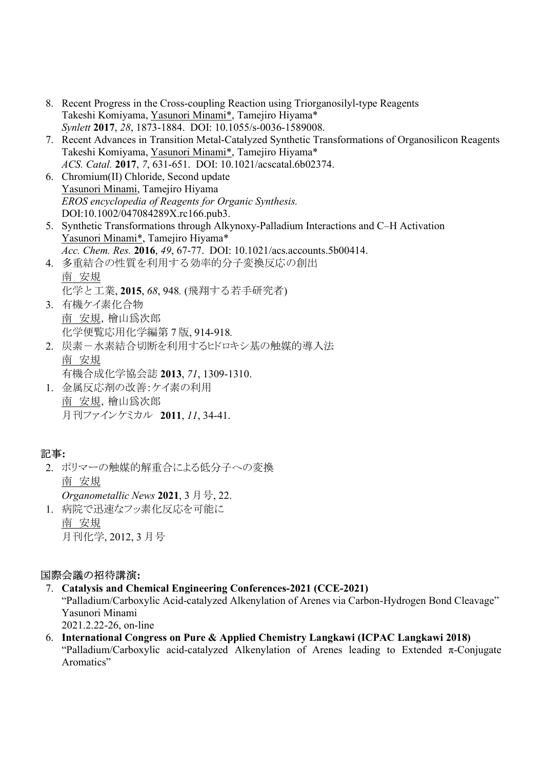- 8. Recent Progress in the Cross-coupling Reaction using Triorganosilyl-type Reagents Takeshi Komiyama, Yasunori Minami\*, Tamejiro Hiyama\* Synlett 2017, 28, 1873-1884. DOI: 10.1055/s-0036-1589008.
- 7. Recent Advances in Transition Metal-Catalyzed Synthetic Transformations of Organosilicon Reagents Takeshi Komiyama, Yasunori Minami\*, Tamejiro Hiyama\* ACS. Catal. 2017, 7, 631-651. DOI: 10.1021/acscatal.6b02374.
- 6. Chromium(II) Chloride, Second update Yasunori Minami, Tamejiro Hiyama EROS encyclopedia of Reagents for Organic Synthesis. DOI:10.1002/047084289X.rc166.pub3.
- 5. Synthetic Transformations through Alkynoxy-Palladium Interactions and C–H Activation Yasunori Minami\*, Tamejiro Hiyama\* Acc. Chem. Res. 2016, 49, 67-77. DOI: 10.1021/acs.accounts.5b00414.
- 4. 多重結合の性質を利用する効率的分子変換反応の創出 南 安規 化学と工業, 2015, 68, 948. (飛翔する若手研究者)
- 3. 有機ケイ素化合物 南 安規,檜山爲次郎 化学便覧応用化学編第 7 版, 914-918.
- 2. 炭素ー水素結合切断を利用するヒドロキシ基の触媒的導入法 南 安規 有機合成化学協会誌 2013, 71, 1309-1310.
- 1. 金属反応剤の改善:ケイ素の利用 南 安規,檜山爲次郎 月刊ファインケミカル 2011, 11, 34-41.

# 記事:

- 2. ポリマーの触媒的解重合による低分子への変換 南 安規 Organometallic News 2021, 3 月号, 22.
- 1. 病院で迅速なフッ素化反応を可能に 南 安規 月刊化学, 2012, 3 月号

# 国際会議の招待講演:

- 7. Catalysis and Chemical Engineering Conferences-2021 (CCE-2021) "Palladium/Carboxylic Acid-catalyzed Alkenylation of Arenes via Carbon-Hydrogen Bond Cleavage" Yasunori Minami 2021.2.22-26, on-line
- 6. International Congress on Pure & Applied Chemistry Langkawi (ICPAC Langkawi 2018) "Palladium/Carboxylic acid-catalyzed Alkenylation of Arenes leading to Extended π-Conjugate Aromatics"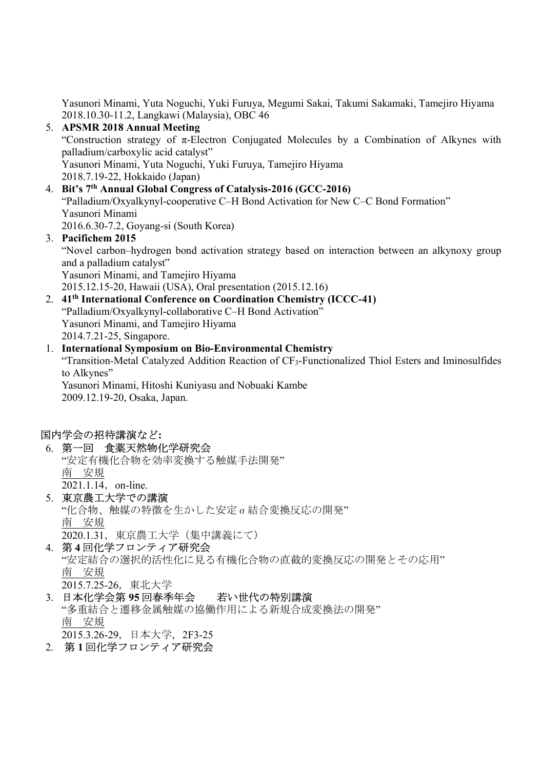Yasunori Minami, Yuta Noguchi, Yuki Furuya, Megumi Sakai, Takumi Sakamaki, Tamejiro Hiyama 2018.10.30-11.2, Langkawi (Malaysia), OBC 46

- 5. APSMR 2018 Annual Meeting "Construction strategy of  $\pi$ -Electron Conjugated Molecules by a Combination of Alkynes with palladium/carboxylic acid catalyst" Yasunori Minami, Yuta Noguchi, Yuki Furuya, Tamejiro Hiyama 2018.7.19-22, Hokkaido (Japan)
- 4. Bit's 7th Annual Global Congress of Catalysis-2016 (GCC-2016) "Palladium/Oxyalkynyl-cooperative C–H Bond Activation for New C–C Bond Formation" Yasunori Minami 2016.6.30-7.2, Goyang-si (South Korea)

#### 3. Pacifichem 2015 "Novel carbon–hydrogen bond activation strategy based on interaction between an alkynoxy group and a palladium catalyst" Yasunori Minami, and Tamejiro Hiyama 2015.12.15-20, Hawaii (USA), Oral presentation (2015.12.16)

2. 41<sup>th</sup> International Conference on Coordination Chemistry (ICCC-41) "Palladium/Oxyalkynyl-collaborative C–H Bond Activation" Yasunori Minami, and Tamejiro Hiyama 2014.7.21-25, Singapore.

1. International Symposium on Bio-Environmental Chemistry "Transition-Metal Catalyzed Addition Reaction of CF3-Functionalized Thiol Esters and Iminosulfides to Alkynes" Yasunori Minami, Hitoshi Kuniyasu and Nobuaki Kambe 2009.12.19-20, Osaka, Japan.

## 国内学会の招待講演など:

- 6. 第一回 食薬天然物化学研究会 "安定有機化合物を効率変換する触媒手法開発" 南 安規 2021.1.14, on-line.
- 5. 東京農工大学での講演 "化合物、触媒の特徴を生かした安定σ結合変換反応の開発" 南 安規 2020.1.31,東京農工大学(集中講義にて)
- 4. 第 4 回化学フロンティア研究会 "安定結合の選択的活性化に見る有機化合物の直截的変換反応の開発とその応用" 南 安規 2015.7.25-26,東北大学
- 3. 日本化学会第 95 回春季年会 若い世代の特別講演 "多重結合と遷移金属触媒の協働作用による新規合成変換法の開発" 南 安規 2015.3.26-29,日本大学,2F3-25
- 2. 第 1 回化学フロンティア研究会